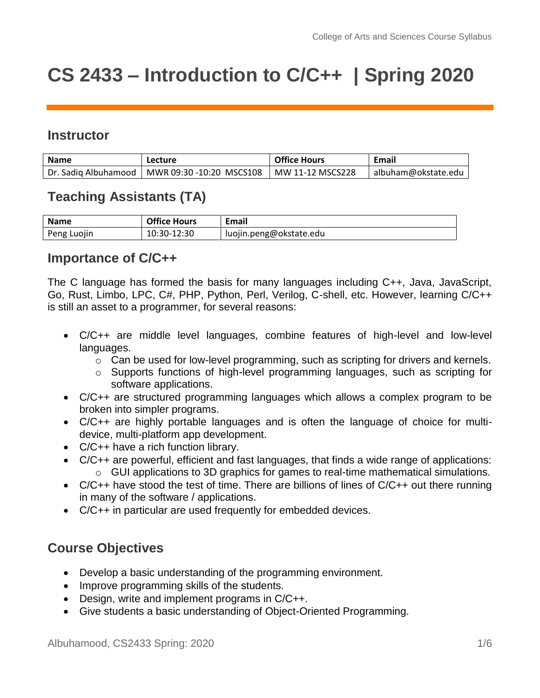# **CS 2433 – Introduction to C/C++ | Spring 2020**

## **Instructor**

| <b>Name</b>          | Lecture                      | <b>Office Hours</b> | Email               |
|----------------------|------------------------------|---------------------|---------------------|
| Dr. Sadig Albuhamood | l   MWR 09:30 -10:20 MSCS108 | MW 11-12 MSCS228    | albuham@okstate.edu |

# **Teaching Assistants (TA)**

| <b>Name</b> | <b>Office Hours</b> | <b>Email</b>            |
|-------------|---------------------|-------------------------|
| Peng Luojin | 10:30-12:30         | luojin.peng@okstate.edu |

## **Importance of C/C++**

The C language has formed the basis for many languages including C++, Java, JavaScript, Go, Rust, Limbo, LPC, C#, PHP, Python, Perl, Verilog, C-shell, etc. However, learning C/C++ is still an asset to a programmer, for several reasons:

- C/C++ are middle level languages, combine features of high-level and low-level languages.
	- o Can be used for low-level programming, such as scripting for drivers and kernels.
	- o Supports functions of high-level programming languages, such as scripting for software applications.
- C/C++ are structured programming languages which allows a complex program to be broken into simpler programs.
- C/C++ are highly portable languages and is often the language of choice for multidevice, multi-platform app development.
- C/C++ have a rich function library.
- C/C++ are powerful, efficient and fast languages, that finds a wide range of applications: o GUI applications to 3D graphics for games to real-time mathematical simulations.
- C/C++ have stood the test of time. There are billions of lines of C/C++ out there running in many of the software / applications.
- C/C++ in particular are used frequently for embedded devices.

# **Course Objectives**

- Develop a basic understanding of the programming environment.
- Improve programming skills of the students.
- Design, write and implement programs in C/C++.
- Give students a basic understanding of Object-Oriented Programming.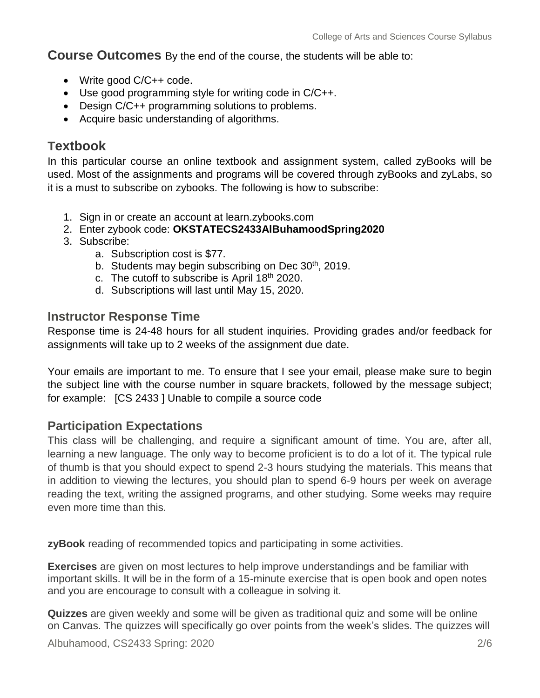**Course Outcomes** By the end of the course, the students will be able to:

- Write good C/C++ code.
- Use good programming style for writing code in C/C++.
- Design C/C++ programming solutions to problems.
- Acquire basic understanding of algorithms.

## **Textbook**

In this particular course an online textbook and assignment system, called zyBooks will be used. Most of the assignments and programs will be covered through zyBooks and zyLabs, so it is a must to subscribe on zybooks. The following is how to subscribe:

- 1. Sign in or create an account at learn.zybooks.com
- 2. Enter zybook code: **OKSTATECS2433AlBuhamoodSpring2020**
- 3. Subscribe:
	- a. Subscription cost is \$77.
	- b. Students may begin subscribing on Dec  $30<sup>th</sup>$ , 2019.
	- c. The cutoff to subscribe is April 18<sup>th</sup> 2020.
	- d. Subscriptions will last until May 15, 2020.

#### **Instructor Response Time**

Response time is 24-48 hours for all student inquiries. Providing grades and/or feedback for assignments will take up to 2 weeks of the assignment due date.

Your emails are important to me. To ensure that I see your email, please make sure to begin the subject line with the course number in square brackets, followed by the message subject; for example: [CS 2433 ] Unable to compile a source code

## **Participation Expectations**

This class will be challenging, and require a significant amount of time. You are, after all, learning a new language. The only way to become proficient is to do a lot of it. The typical rule of thumb is that you should expect to spend 2-3 hours studying the materials. This means that in addition to viewing the lectures, you should plan to spend 6-9 hours per week on average reading the text, writing the assigned programs, and other studying. Some weeks may require even more time than this.

**zyBook** reading of recommended topics and participating in some activities.

**Exercises** are given on most lectures to help improve understandings and be familiar with important skills. It will be in the form of a 15-minute exercise that is open book and open notes and you are encourage to consult with a colleague in solving it.

**Quizzes** are given weekly and some will be given as traditional quiz and some will be online on Canvas. The quizzes will specifically go over points from the week's slides. The quizzes will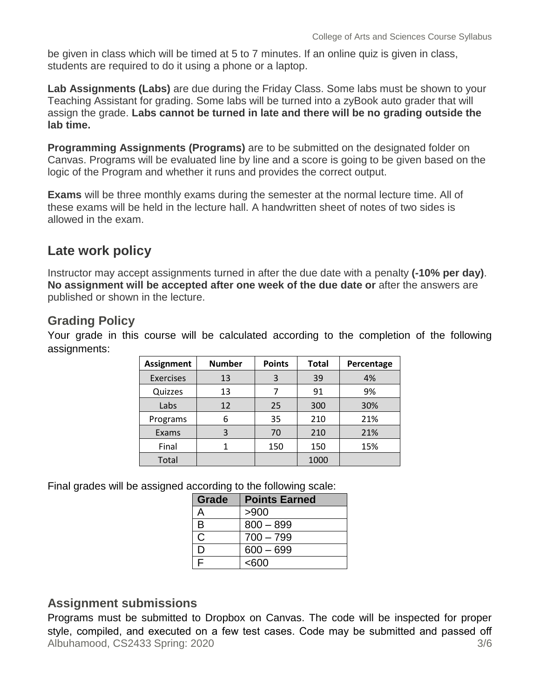be given in class which will be timed at 5 to 7 minutes. If an online quiz is given in class, students are required to do it using a phone or a laptop.

**Lab Assignments (Labs)** are due during the Friday Class. Some labs must be shown to your Teaching Assistant for grading. Some labs will be turned into a zyBook auto grader that will assign the grade. **Labs cannot be turned in late and there will be no grading outside the lab time.**

**Programming Assignments (Programs)** are to be submitted on the designated folder on Canvas. Programs will be evaluated line by line and a score is going to be given based on the logic of the Program and whether it runs and provides the correct output.

**Exams** will be three monthly exams during the semester at the normal lecture time. All of these exams will be held in the lecture hall. A handwritten sheet of notes of two sides is allowed in the exam.

# **Late work policy**

Instructor may accept assignments turned in after the due date with a penalty **(-10% per day)**. **No assignment will be accepted after one week of the due date or** after the answers are published or shown in the lecture.

# **Grading Policy**

Your grade in this course will be calculated according to the completion of the following assignments:

| <b>Assignment</b> | <b>Number</b> | <b>Points</b> | <b>Total</b> | Percentage |
|-------------------|---------------|---------------|--------------|------------|
| <b>Exercises</b>  | 13            | 3             | 39           | 4%         |
| Quizzes           | 13            |               | 91           | 9%         |
| Labs              | 12            | 25            | 300          | 30%        |
| Programs          | 6             | 35            | 210          | 21%        |
| Exams             | 3             | 70            | 210          | 21%        |
| Final             |               | 150           | 150          | 15%        |
| Total             |               |               | 1000         |            |

Final grades will be assigned according to the following scale:

| Grade | <b>Points Earned</b> |
|-------|----------------------|
| A     | >900                 |
| B     | $800 - 899$          |
| C     | $700 - 799$          |
| D     | $600 - 699$          |
| F     | < 600                |

# **Assignment submissions**

Albuhamood, CS2433 Spring: 2020 3/6 Programs must be submitted to Dropbox on Canvas. The code will be inspected for proper style, compiled, and executed on a few test cases. Code may be submitted and passed off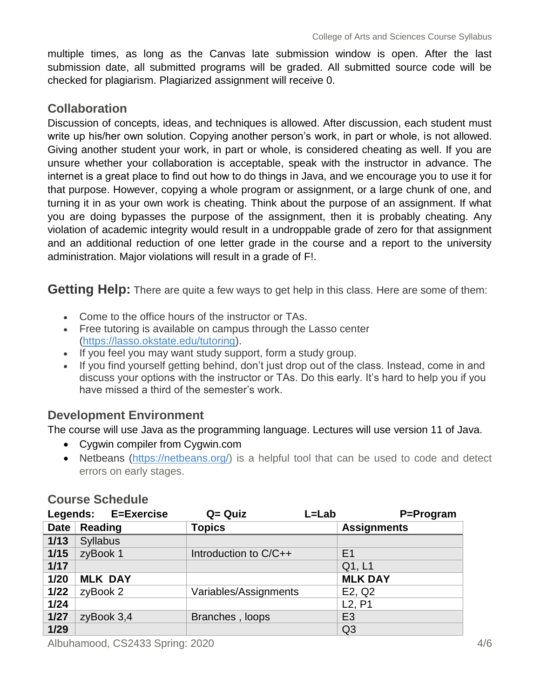multiple times, as long as the Canvas late submission window is open. After the last submission date, all submitted programs will be graded. All submitted source code will be checked for plagiarism. Plagiarized assignment will receive 0.

# **Collaboration**

Discussion of concepts, ideas, and techniques is allowed. After discussion, each student must write up his/her own solution. Copying another person's work, in part or whole, is not allowed. Giving another student your work, in part or whole, is considered cheating as well. If you are unsure whether your collaboration is acceptable, speak with the instructor in advance. The internet is a great place to find out how to do things in Java, and we encourage you to use it for that purpose. However, copying a whole program or assignment, or a large chunk of one, and turning it in as your own work is cheating. Think about the purpose of an assignment. If what you are doing bypasses the purpose of the assignment, then it is probably cheating. Any violation of academic integrity would result in a undroppable grade of zero for that assignment and an additional reduction of one letter grade in the course and a report to the university administration. Major violations will result in a grade of F!.

**Getting Help:** There are quite a few ways to get help in this class. Here are some of them:

- Come to the office hours of the instructor or TAs.
- Free tutoring is available on campus through the Lasso center [\(https://lasso.okstate.edu/tutoring\)](https://lasso.okstate.edu/tutoring).
- If you feel you may want study support, form a study group.
- If you find yourself getting behind, don't just drop out of the class. Instead, come in and discuss your options with the instructor or TAs. Do this early. It's hard to help you if you have missed a third of the semester's work.

# **Development Environment**

The course will use Java as the programming language. Lectures will use version 11 of Java.

- Cygwin compiler from Cygwin.com
- Netbeans [\(https://netbeans.org/\)](https://netbeans.org/) is a helpful tool that can be used to code and detect errors on early stages.

|             | Legends: E=Exercise | L=Lab<br>$Q = Q$ uiz  | P=Program                       |
|-------------|---------------------|-----------------------|---------------------------------|
| <b>Date</b> | <b>Reading</b>      | <b>Topics</b>         | <b>Assignments</b>              |
| 1/13        | <b>Syllabus</b>     |                       |                                 |
| 1/15        | zyBook 1            | Introduction to C/C++ | E1                              |
| $1/17$      |                     |                       | Q1, L1                          |
| 1/20        | <b>MLK DAY</b>      |                       | <b>MLK DAY</b>                  |
| $1/22$      | zyBook 2            | Variables/Assignments | E2, Q2                          |
| 1/24        |                     |                       | L <sub>2</sub> , P <sub>1</sub> |
| $1/27$      | zyBook 3,4          | Branches, loops       | E <sub>3</sub>                  |
| $1/29$      |                     |                       | Q <sub>3</sub>                  |

## **Course Schedule**

Albuhamood, CS2433 Spring: 2020 4/6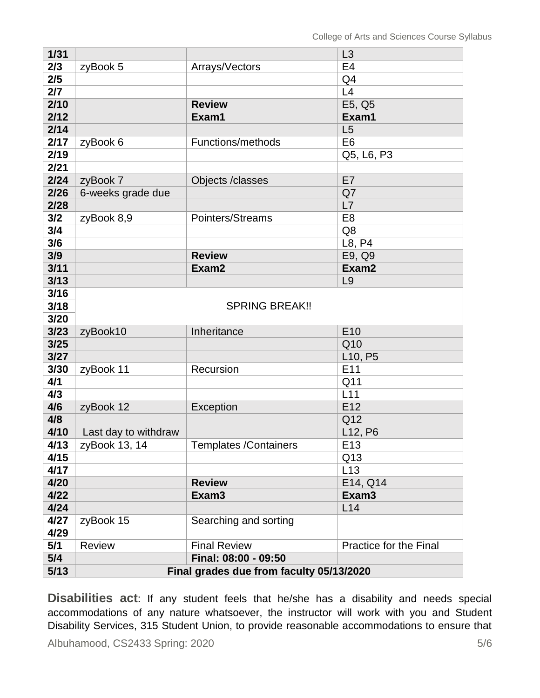| $1/31$ |                                          |                              | L3                               |
|--------|------------------------------------------|------------------------------|----------------------------------|
| 2/3    | zyBook 5                                 | Arrays/Vectors               | E <sub>4</sub>                   |
| 2/5    |                                          |                              | Q4                               |
| 2/7    |                                          |                              | L4                               |
| 2/10   |                                          | <b>Review</b>                | E5, Q5                           |
| 2/12   |                                          | Exam1                        | Exam1                            |
| 2/14   |                                          |                              | L5                               |
| 2/17   | zyBook 6                                 | Functions/methods            | E <sub>6</sub>                   |
| 2/19   |                                          |                              | Q5, L6, P3                       |
| 2/21   |                                          |                              |                                  |
| 2/24   | zyBook 7                                 | Objects /classes             | E7                               |
| 2/26   | 6-weeks grade due                        |                              | Q7                               |
| 2/28   |                                          |                              | L7                               |
| 3/2    | zyBook 8,9                               | Pointers/Streams             | E <sub>8</sub>                   |
| 3/4    |                                          |                              | Q8                               |
| 3/6    |                                          |                              | L8, P4                           |
| 3/9    |                                          | <b>Review</b>                | E9, Q9                           |
| 3/11   |                                          | Exam2                        | Exam2                            |
| 3/13   |                                          |                              | L9                               |
| 3/16   |                                          |                              |                                  |
| 3/18   |                                          | <b>SPRING BREAK!!</b>        |                                  |
| 3/20   |                                          |                              |                                  |
| 3/23   | zyBook10                                 | Inheritance                  | E10                              |
| 3/25   |                                          |                              | Q10                              |
| 3/27   |                                          |                              | L <sub>10</sub> , P <sub>5</sub> |
| 3/30   | zyBook 11                                | Recursion                    | E11                              |
| 4/1    |                                          |                              | Q11                              |
| 4/3    |                                          |                              | L11                              |
| 4/6    | zyBook 12                                | Exception                    | E12                              |
| 4/8    |                                          |                              | Q12                              |
| 4/10   | Last day to withdraw                     |                              | L12, P6                          |
| 4/13   | zyBook 13, 14                            | <b>Templates /Containers</b> | E13                              |
| 4/15   |                                          |                              | Q13                              |
| 4/17   |                                          |                              | L13                              |
| 4/20   |                                          | <b>Review</b>                | E14, Q14                         |
| 4/22   |                                          | Exam <sub>3</sub>            | Exam <sub>3</sub>                |
| 4/24   |                                          |                              | L14                              |
| 4/27   | zyBook 15                                | Searching and sorting        |                                  |
| 4/29   |                                          |                              |                                  |
| 5/1    | <b>Review</b>                            | <b>Final Review</b>          | Practice for the Final           |
| 5/4    |                                          | Final: 08:00 - 09:50         |                                  |
| 5/13   | Final grades due from faculty 05/13/2020 |                              |                                  |

**Disabilities act**: If any student feels that he/she has a disability and needs special accommodations of any nature whatsoever, the instructor will work with you and Student Disability Services, 315 Student Union, to provide reasonable accommodations to ensure that

Albuhamood, CS2433 Spring: 2020 5/6